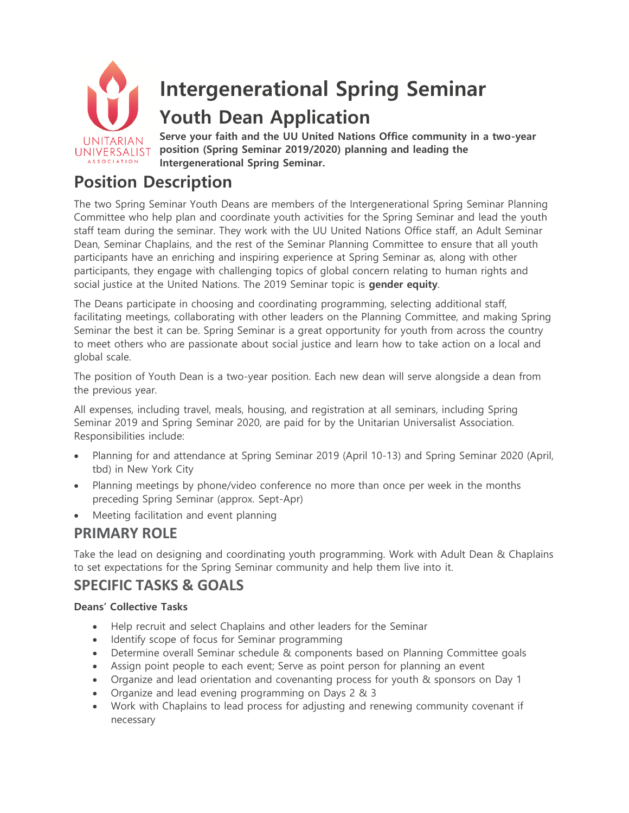

# **Position Description**

The two Spring Seminar Youth Deans are members of the Intergenerational Spring Seminar Planning Committee who help plan and coordinate youth activities for the Spring Seminar and lead the youth staff team during the seminar. They work with the UU United Nations Office staff, an Adult Seminar Dean, Seminar Chaplains, and the rest of the Seminar Planning Committee to ensure that all youth participants have an enriching and inspiring experience at Spring Seminar as, along with other participants, they engage with challenging topics of global concern relating to human rights and social justice at the United Nations. The 2019 Seminar topic is **gender equity**.

The Deans participate in choosing and coordinating programming, selecting additional staff, facilitating meetings, collaborating with other leaders on the Planning Committee, and making Spring Seminar the best it can be. Spring Seminar is a great opportunity for youth from across the country to meet others who are passionate about social justice and learn how to take action on a local and global scale.

The position of Youth Dean is a two-year position. Each new dean will serve alongside a dean from the previous year.

All expenses, including travel, meals, housing, and registration at all seminars, including Spring Seminar 2019 and Spring Seminar 2020, are paid for by the Unitarian Universalist Association. Responsibilities include:

- Planning for and attendance at Spring Seminar 2019 (April 10-13) and Spring Seminar 2020 (April, tbd) in New York City
- Planning meetings by phone/video conference no more than once per week in the months preceding Spring Seminar (approx. Sept-Apr)
- Meeting facilitation and event planning

# **PRIMARY ROLE**

Take the lead on designing and coordinating youth programming. Work with Adult Dean & Chaplains to set expectations for the Spring Seminar community and help them live into it.

# **SPECIFIC TASKS & GOALS**

#### **Deans' Collective Tasks**

- Help recruit and select Chaplains and other leaders for the Seminar
- Identify scope of focus for Seminar programming
- Determine overall Seminar schedule & components based on Planning Committee goals
- Assign point people to each event; Serve as point person for planning an event
- Organize and lead orientation and covenanting process for youth & sponsors on Day 1
- Organize and lead evening programming on Days 2 & 3
- Work with Chaplains to lead process for adjusting and renewing community covenant if necessary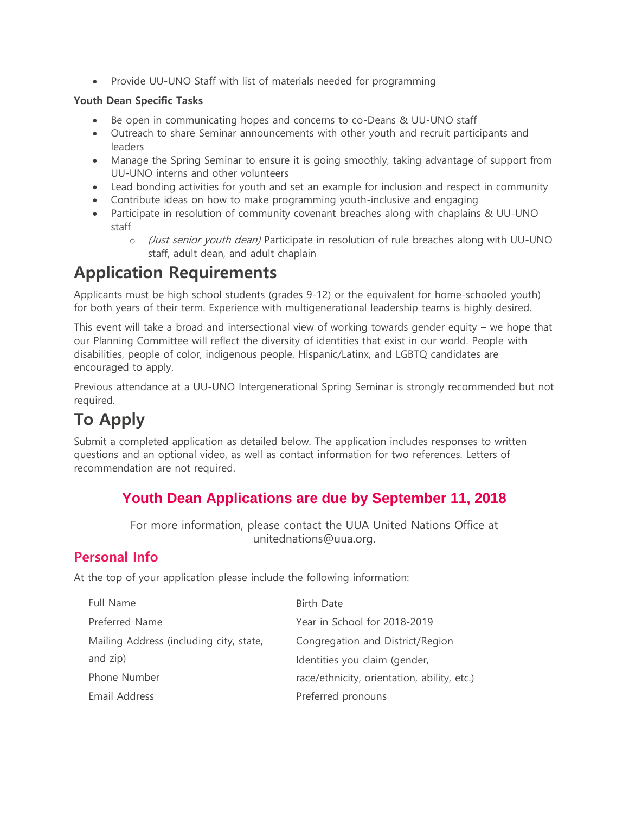• Provide UU-UNO Staff with list of materials needed for programming

#### **Youth Dean Specific Tasks**

- Be open in communicating hopes and concerns to co-Deans & UU-UNO staff
- Outreach to share Seminar announcements with other youth and recruit participants and leaders
- Manage the Spring Seminar to ensure it is going smoothly, taking advantage of support from UU-UNO interns and other volunteers
- Lead bonding activities for youth and set an example for inclusion and respect in community
- Contribute ideas on how to make programming youth-inclusive and engaging
- Participate in resolution of community covenant breaches along with chaplains & UU-UNO staff
	- o (Just senior youth dean) Participate in resolution of rule breaches along with UU-UNO staff, adult dean, and adult chaplain

# **Application Requirements**

Applicants must be high school students (grades 9-12) or the equivalent for home-schooled youth) for both years of their term. Experience with multigenerational leadership teams is highly desired.

This event will take a broad and intersectional view of working towards gender equity – we hope that our Planning Committee will reflect the diversity of identities that exist in our world. People with disabilities, people of color, indigenous people, Hispanic/Latinx, and LGBTQ candidates are encouraged to apply.

Previous attendance at a UU-UNO Intergenerational Spring Seminar is strongly recommended but not required.

# **To Apply**

Submit a completed application as detailed below. The application includes responses to written questions and an optional video, as well as contact information for two references. Letters of recommendation are not required.

# **Youth Dean Applications are due by September 11, 2018**

For more information, please contact the UUA United Nations Office at unitednations@uua.org.

# **Personal Info**

At the top of your application please include the following information:

| Full Name                               | Birth Date                                  |
|-----------------------------------------|---------------------------------------------|
| Preferred Name                          | Year in School for 2018-2019                |
| Mailing Address (including city, state, | Congregation and District/Region            |
| and zip)                                | Identities you claim (gender,               |
| Phone Number                            | race/ethnicity, orientation, ability, etc.) |
| Email Address                           | Preferred pronouns                          |